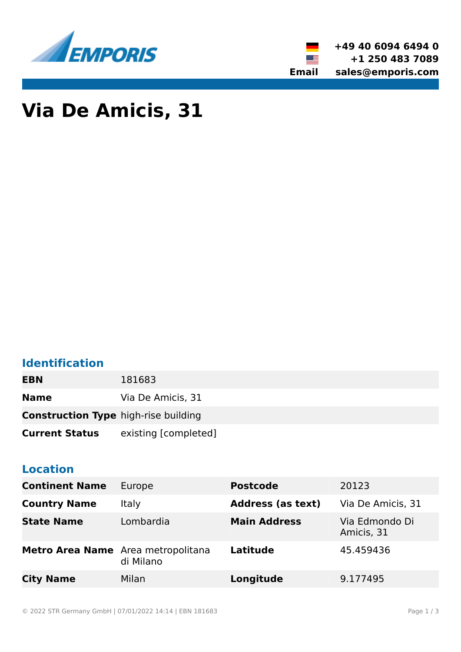



# **Via De Amicis, 31**

# **Identification**

| <b>EBN</b>                                  | 181683               |
|---------------------------------------------|----------------------|
| <b>Name</b>                                 | Via De Amicis, 31    |
| <b>Construction Type high-rise building</b> |                      |
| <b>Current Status</b>                       | existing [completed] |

## **Location**

| <b>Continent Name</b>              | Europe       | <b>Postcode</b>          | 20123                        |
|------------------------------------|--------------|--------------------------|------------------------------|
| <b>Country Name</b>                | <b>Italy</b> | <b>Address (as text)</b> | Via De Amicis, 31            |
| <b>State Name</b>                  | Lombardia    | <b>Main Address</b>      | Via Edmondo Di<br>Amicis, 31 |
| Metro Area Name Area metropolitana | di Milano    | Latitude                 | 45.459436                    |
| <b>City Name</b>                   | Milan        | Longitude                | 9.177495                     |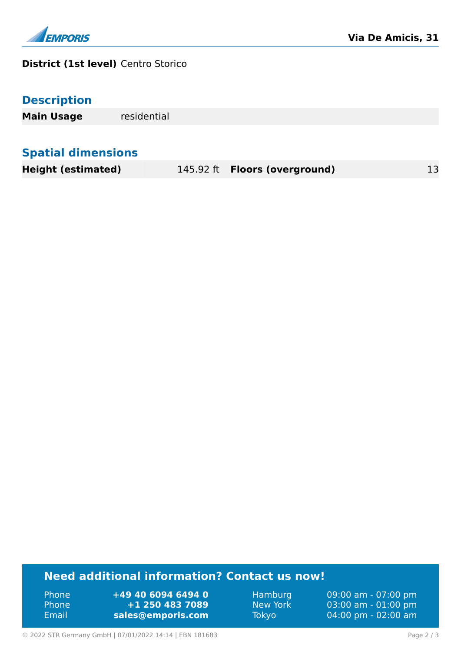

#### **District (1st level)** Centro Storico

**Main Usage** residential

## **Spatial dimensions**

**Height (estimated)** 145.92 ft **Floors (overground)** 13

### **Need additional information? Contact us now!**

Phone **+49 40 6094 6494 0** Phone **+1 250 483 7089** Email **<sales@emporis.com>**

Hamburg 09:00 am - 07:00 pm New York 03:00 am - 01:00 pm Tokyo 04:00 pm - 02:00 am